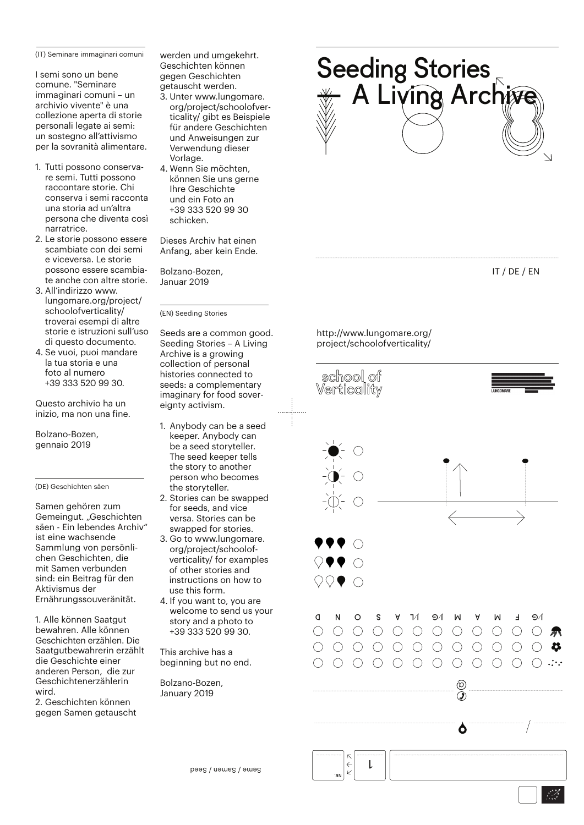(IT) Seminare immaginari comuni

I semi sono un bene comune. "Seminare immaginari comuni – un archivio vivente" è una collezione aperta di storie personali legate ai semi: un sostegno all'attivismo per la sovranità alimentare.

- 1. Tutti possono conservare semi. Tutti possono raccontare storie. Chi conserva i semi racconta una storia ad un'altra persona che diventa così narratrice.
- 2. Le storie possono essere scambiate con dei semi e viceversa. Le storie possono essere scambiate anche con altre storie.
- 3. All'indirizzo www. lungomare.org/project/ schoolofverticality/ troverai esempi di altre storie e istruzioni sull'uso di questo documento.
- 4. Se vuoi, puoi mandare la tua storia e una foto al numero +39 333 520 99 30.

Questo archivio ha un inizio, ma non una fine.

Bolzano-Bozen, gennaio 2019

(DE) Geschichten säen

Samen gehören zum Gemeingut. "Geschichten säen - Ein lebendes Archiv" ist eine wachsende Sammlung von persönlichen Geschichten, die mit Samen verbunden sind: ein Beitrag für den Aktivismus der Ernährungssouveränität.

1. Alle können Saatgut bewahren. Alle können Geschichten erzählen. Die Saatgutbewahrerin erzählt die Geschichte einer anderen Person, die zur Geschichtenerzählerin wird.

2. Geschichten können gegen Samen getauscht werden und umgekehrt. Geschichten können gegen Geschichten getauscht werden.

- 3. Unter www.lungomare. org/project/schoolofverticality/ gibt es Beispiele für andere Geschichten und Anweisungen zur Verwendung dieser Vorlage.
- 4. Wenn Sie möchten, können Sie uns gerne Ihre Geschichte und ein Foto an +39 333 520 99 30 schicken.

Dieses Archiv hat einen Anfang, aber kein Ende.

Bolzano-Bozen, Januar 2019

(EN) Seeding Stories

Seeds are a common good. Seeding Stories – A Living Archive is a growing collection of personal histories connected to seeds: a complementary imaginary for food sovereignty activism.

- 1. Anybody can be a seed keeper. Anybody can be a seed storyteller. The seed keeper tells the story to another person who becomes the storyteller.
- 2. Stories can be swapped for seeds, and vice versa. Stories can be swapped for stories.
- 3. Go to www.lungomare. org/project/schoolof verticality/ for examples of other stories and instructions on how to use this form.
- 4. If you want to, you are welcome to send us your story and a photo to +39 333 520 99 30.

This archive has a beginning but no end.

Bolzano-Bozen, January 2019

Seeding Stories A Living Arch

IT / DE / EN

http://www.lungomare.org/ project/schoolofverticality/



Seme / Samen / Seed